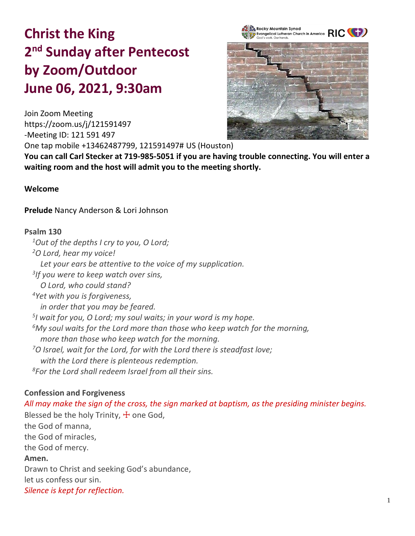# **Christ the King 2 nd Sunday after Pentecost by Zoom/Outdoor June 06, 2021, 9:30am**

Join Zoom Meeting https://zoom.us/j/121591497 -Meeting ID: 121 591 497 One tap mobile +13462487799, 121591497# US (Houston)



**You can call Carl Stecker at 719-985-5051 if you are having trouble connecting. You will enter a waiting room and the host will admit you to the meeting shortly.** 

# **Welcome**

# **Prelude** Nancy Anderson & Lori Johnson

# **Psalm 130**

*Out of the depths I cry to you, O Lord; O Lord, hear my voice! Let your ears be attentive to the voice of my supplication. If you were to keep watch over sins, O Lord, who could stand? Yet with you is forgiveness, in order that you may be feared. I wait for you, O Lord; my soul waits; in your word is my hope. My soul waits for the Lord more than those who keep watch for the morning, more than those who keep watch for the morning. O Israel, wait for the Lord, for with the Lord there is steadfast love; with the Lord there is plenteous redemption. For the Lord shall redeem Israel from all their sins.*

# **Confession and Forgiveness**

#### *All may make the sign of the cross, the sign marked at baptism, as the presiding minister begins.*

Blessed be the holy Trinity,  $\pm$  one God, the God of manna, the God of miracles, the God of mercy. **Amen.** Drawn to Christ and seeking God's abundance, let us confess our sin. *Silence is kept for reflection.*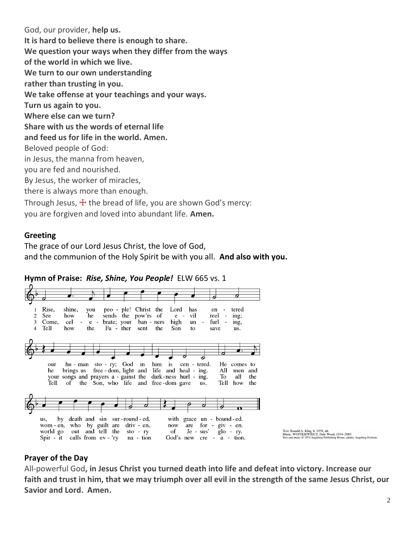God, our provider, **help us. It is hard to believe there is enough to share. We question your ways when they differ from the ways of the world in which we live. We turn to our own understanding rather than trusting in you. We take offense at your teachings and your ways. Turn us again to you. Where else can we turn? Share with us the words of eternal life and feed us for life in the world. Amen.** Beloved people of God: in Jesus, the manna from heaven, you are fed and nourished. By Jesus, the worker of miracles, there is always more than enough. Through Jesus,  $\ddot{+}$  the bread of life, you are shown God's mercy: you are forgiven and loved into abundant life. **Amen.**

#### **Greeting**

The grace of our Lord Jesus Christ, the love of God, and the communion of the Holy Spirit be with you all. **And also with you.**

# **Hymn of Praise:** *Rise, Shine, You People!* ELW 665 vs. 1



# **Prayer of the Day**

All-powerful God**, in Jesus Christ you turned death into life and defeat into victory. Increase our faith and trust in him, that we may triumph over all evil in the strength of the same Jesus Christ, our Savior and Lord. Amen.**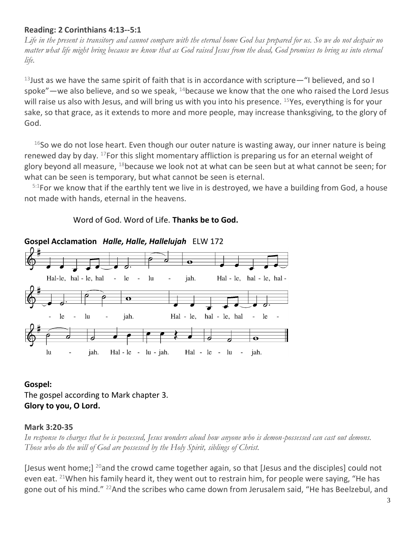# **Reading: 2 Corinthians 4:13--5:1**

*Life in the present is transitory and cannot compare with the eternal home God has prepared for us. So we do not despair no matter what life might bring because we know that as God raised Jesus from the dead, God promises to bring us into eternal life.*

 $13$  Just as we have the same spirit of faith that is in accordance with scripture—"I believed, and so I spoke"—we also believe, and so we speak,  $14$  because we know that the one who raised the Lord Jesus will raise us also with Jesus, and will bring us with you into his presence. <sup>15</sup>Yes, everything is for your sake, so that grace, as it extends to more and more people, may increase thanksgiving, to the glory of God.

 $16$ So we do not lose heart. Even though our outer nature is wasting away, our inner nature is being renewed day by day. <sup>17</sup>For this slight momentary affliction is preparing us for an eternal weight of glory beyond all measure, <sup>18</sup>because we look not at what can be seen but at what cannot be seen; for what can be seen is temporary, but what cannot be seen is eternal.

<sup>5:1</sup>For we know that if the earthly tent we live in is destroyed, we have a building from God, a house not made with hands, eternal in the heavens.

# Word of God. Word of Life. **Thanks be to God.**



# **Gospel Acclamation** *Halle, Halle, Hallelujah* ELW 172

# **Gospel:**

The gospel according to Mark chapter 3. **Glory to you, O Lord.**

# **Mark 3:20-35**

*In response to charges that he is possessed, Jesus wonders aloud how anyone who is demon-possessed can cast out demons. Those who do the will of God are possessed by the Holy Spirit, siblings of Christ.*

[Jesus went home;]  $^{20}$  and the crowd came together again, so that [Jesus and the disciples] could not even eat. <sup>21</sup>When his family heard it, they went out to restrain him, for people were saying, "He has gone out of his mind." <sup>22</sup>And the scribes who came down from Jerusalem said, "He has Beelzebul, and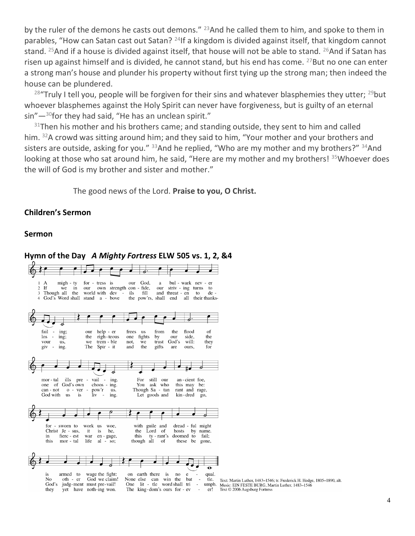by the ruler of the demons he casts out demons." <sup>23</sup>And he called them to him, and spoke to them in parables, "How can Satan cast out Satan? <sup>24</sup>If a kingdom is divided against itself, that kingdom cannot stand. <sup>25</sup>And if a house is divided against itself, that house will not be able to stand. <sup>26</sup>And if Satan has risen up against himself and is divided, he cannot stand, but his end has come.  $^{27}$ But no one can enter a strong man's house and plunder his property without first tying up the strong man; then indeed the house can be plundered.

 $28$ "Truly I tell you, people will be forgiven for their sins and whatever blasphemies they utter;  $29$ but whoever blasphemes against the Holy Spirit can never have forgiveness, but is guilty of an eternal  $\sin'' - \sin$ <sup>30</sup>for they had said, "He has an unclean spirit."

 $31$ Then his mother and his brothers came; and standing outside, they sent to him and called him. <sup>32</sup>A crowd was sitting around him; and they said to him, "Your mother and your brothers and sisters are outside, asking for you."  $33$ And he replied, "Who are my mother and my brothers?"  $34$ And looking at those who sat around him, he said, "Here are my mother and my brothers! <sup>35</sup>Whoever does the will of God is my brother and sister and mother."

The good news of the Lord. **Praise to you, O Christ.**

#### **Children's Sermon**

#### **Sermon**

#### **Hymn of the Day** *A Mighty Fortress* **ELW 505 vs. 1, 2, &4**



God's judg-ment must pre-vail! they yet have noth-ing won. One lit - tle word shall tri The king-dom's ours for - ev er!

Text: Martin Luther, 1483-1546; tr. Frederick H. Hedge, 1805-1890, alt. umph. Music: EIN FESTE BURG, Martin Luther, 1483-1546 Text © 2006 Augsburg Fortress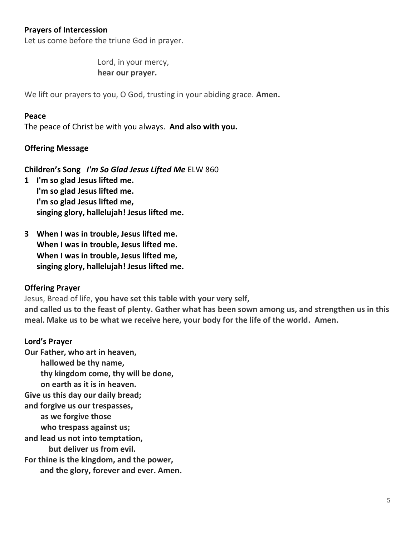# **Prayers of Intercession**

Let us come before the triune God in prayer.

Lord, in your mercy, **hear our prayer.**

We lift our prayers to you, O God, trusting in your abiding grace. **Amen.**

# **Peace**

The peace of Christ be with you always. **And also with you.**

# **Offering Message**

**Children's Song** *I'm So Glad Jesus Lifted Me* ELW 860

- **1 I'm so glad Jesus lifted me. I'm so glad Jesus lifted me. I'm so glad Jesus lifted me, singing glory, hallelujah! Jesus lifted me.**
- **3 When I was in trouble, Jesus lifted me. When I was in trouble, Jesus lifted me. When I was in trouble, Jesus lifted me, singing glory, hallelujah! Jesus lifted me.**

# **Offering Prayer**

Jesus, Bread of life, **you have set this table with your very self, and called us to the feast of plenty. Gather what has been sown among us, and strengthen us in this meal. Make us to be what we receive here, your body for the life of the world. Amen.**

# **Lord's Prayer**

**Our Father, who art in heaven, hallowed be thy name, thy kingdom come, thy will be done, on earth as it is in heaven. Give us this day our daily bread; and forgive us our trespasses, as we forgive those who trespass against us; and lead us not into temptation, but deliver us from evil. For thine is the kingdom, and the power, and the glory, forever and ever. Amen.**